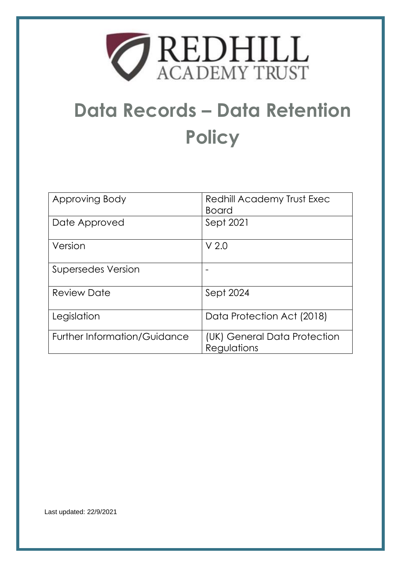

# **Data Records – Data Retention Policy**

| Approving Body                      | Redhill Academy Trust Exec<br><b>Board</b>  |
|-------------------------------------|---------------------------------------------|
| Date Approved                       | Sept 2021                                   |
| Version                             | V <sub>2.0</sub>                            |
| <b>Supersedes Version</b>           |                                             |
| <b>Review Date</b>                  | Sept 2024                                   |
| Legislation                         | Data Protection Act (2018)                  |
| <b>Further Information/Guidance</b> | (UK) General Data Protection<br>Regulations |

Last updated: 22/9/2021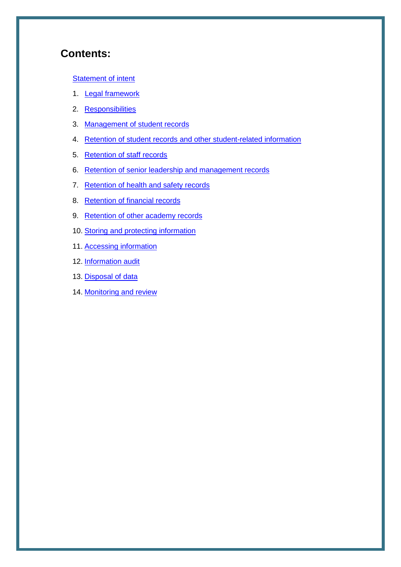# **Contents:**

#### **[Statement of intent](#page-2-0)**

- 1. [Legal framework](#page-3-0)
- 2. [Responsibilities](#page-3-1)
- 3. Management of student records
- 4. Retention of student records and other student-related information
- 5. Retention of staff records
- 6. Retention of senior leadership and management records
- 7. Retention of health and safety records
- 8. Retention of financial records
- 9. Retention of other academy records
- 10. Storing and protecting information
- 11. Accessing information
- 12. Information audit
- 13. Disposal of data
- 14. Monitoring and review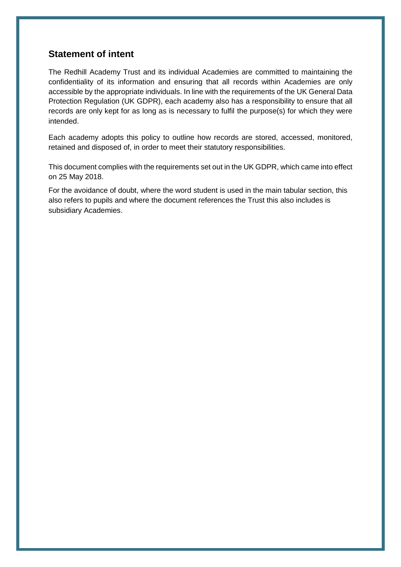### <span id="page-2-0"></span>**Statement of intent**

The Redhill Academy Trust and its individual Academies are committed to maintaining the confidentiality of its information and ensuring that all records within Academies are only accessible by the appropriate individuals. In line with the requirements of the UK General Data Protection Regulation (UK GDPR), each academy also has a responsibility to ensure that all records are only kept for as long as is necessary to fulfil the purpose(s) for which they were intended.

Each academy adopts this policy to outline how records are stored, accessed, monitored, retained and disposed of, in order to meet their statutory responsibilities.

This document complies with the requirements set out in the UK GDPR, which came into effect on 25 May 2018.

For the avoidance of doubt, where the word student is used in the main tabular section, this also refers to pupils and where the document references the Trust this also includes is subsidiary Academies.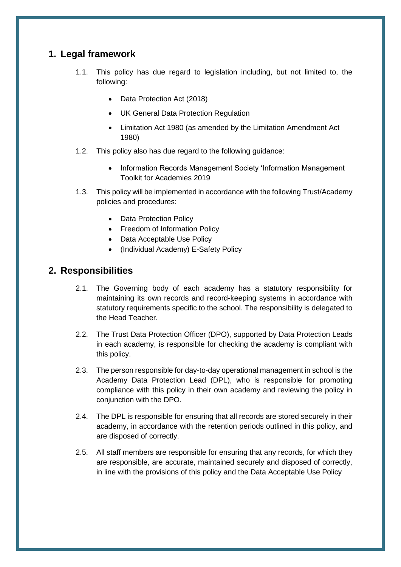## <span id="page-3-0"></span>**1. Legal framework**

- 1.1. This policy has due regard to legislation including, but not limited to, the following:
	- Data Protection Act (2018)
	- UK General Data Protection Regulation
	- Limitation Act 1980 (as amended by the Limitation Amendment Act 1980)
- 1.2. This policy also has due regard to the following guidance:
	- Information Records Management Society 'Information Management Toolkit for Academies 2019
- 1.3. This policy will be implemented in accordance with the following Trust/Academy policies and procedures:
	- Data Protection Policy
	- Freedom of Information Policy
	- Data Acceptable Use Policy
	- (Individual Academy) E-Safety Policy

#### <span id="page-3-1"></span>**2. Responsibilities**

- 2.1. The Governing body of each academy has a statutory responsibility for maintaining its own records and record-keeping systems in accordance with statutory requirements specific to the school. The responsibility is delegated to the Head Teacher.
- 2.2. The Trust Data Protection Officer (DPO), supported by Data Protection Leads in each academy, is responsible for checking the academy is compliant with this policy.
- 2.3. The person responsible for day-to-day operational management in school is the Academy Data Protection Lead (DPL), who is responsible for promoting compliance with this policy in their own academy and reviewing the policy in conjunction with the DPO.
- 2.4. The DPL is responsible for ensuring that all records are stored securely in their academy, in accordance with the retention periods outlined in this policy, and are disposed of correctly.
- 2.5. All staff members are responsible for ensuring that any records, for which they are responsible, are accurate, maintained securely and disposed of correctly, in line with the provisions of this policy and the Data Acceptable Use Policy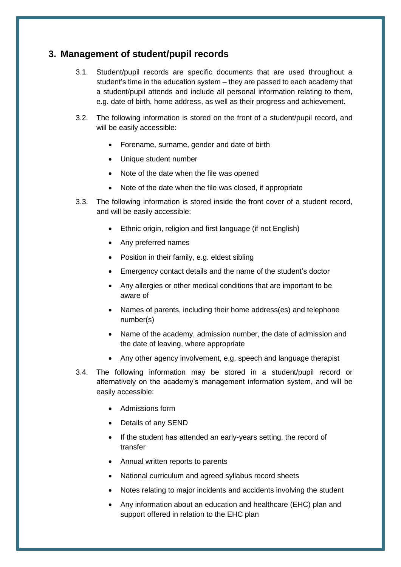#### **3. Management of student/pupil records**

- 3.1. Student/pupil records are specific documents that are used throughout a student's time in the education system – they are passed to each academy that a student/pupil attends and include all personal information relating to them, e.g. date of birth, home address, as well as their progress and achievement.
- 3.2. The following information is stored on the front of a student/pupil record, and will be easily accessible:
	- Forename, surname, gender and date of birth
	- Unique student number
	- Note of the date when the file was opened
	- Note of the date when the file was closed, if appropriate
- 3.3. The following information is stored inside the front cover of a student record, and will be easily accessible:
	- Ethnic origin, religion and first language (if not English)
	- Any preferred names
	- Position in their family, e.g. eldest sibling
	- Emergency contact details and the name of the student's doctor
	- Any allergies or other medical conditions that are important to be aware of
	- Names of parents, including their home address(es) and telephone number(s)
	- Name of the academy, admission number, the date of admission and the date of leaving, where appropriate
	- Any other agency involvement, e.g. speech and language therapist
- 3.4. The following information may be stored in a student/pupil record or alternatively on the academy's management information system, and will be easily accessible:
	- Admissions form
	- Details of any SEND
	- If the student has attended an early-years setting, the record of transfer
	- Annual written reports to parents
	- National curriculum and agreed syllabus record sheets
	- Notes relating to major incidents and accidents involving the student
	- Any information about an education and healthcare (EHC) plan and support offered in relation to the EHC plan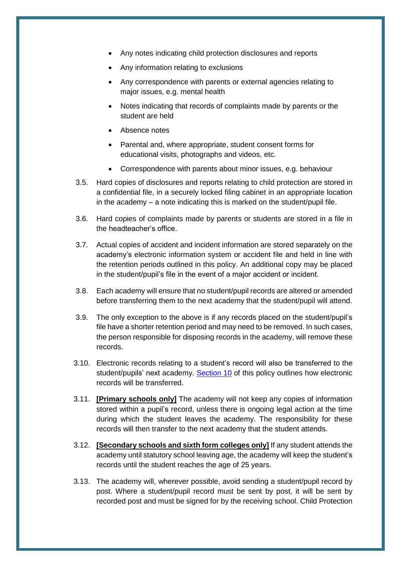- Any notes indicating child protection disclosures and reports
- Any information relating to exclusions
- Any correspondence with parents or external agencies relating to major issues, e.g. mental health
- Notes indicating that records of complaints made by parents or the student are held
- Absence notes
- Parental and, where appropriate, student consent forms for educational visits, photographs and videos, etc.
- Correspondence with parents about minor issues, e.g. behaviour
- 3.5. Hard copies of disclosures and reports relating to child protection are stored in a confidential file, in a securely locked filing cabinet in an appropriate location in the academy – a note indicating this is marked on the student/pupil file.
- 3.6. Hard copies of complaints made by parents or students are stored in a file in the headteacher's office.
- 3.7. Actual copies of accident and incident information are stored separately on the academy's electronic information system or accident file and held in line with the retention periods outlined in this policy. An additional copy may be placed in the student/pupil's file in the event of a major accident or incident.
- 3.8. Each academy will ensure that no student/pupil records are altered or amended before transferring them to the next academy that the student/pupil will attend.
- 3.9. The only exception to the above is if any records placed on the student/pupil's file have a shorter retention period and may need to be removed. In such cases, the person responsible for disposing records in the academy, will remove these records.
- 3.10. Electronic records relating to a student's record will also be transferred to the student/pupils' next academy. [Section 10](#page-16-0) of this policy outlines how electronic records will be transferred.
- 3.11. **[Primary schools only]** The academy will not keep any copies of information stored within a pupil's record, unless there is ongoing legal action at the time during which the student leaves the academy. The responsibility for these records will then transfer to the next academy that the student attends.
- 3.12. **[Secondary schools and sixth form colleges only]** If any student attends the academy until statutory school leaving age, the academy will keep the student's records until the student reaches the age of 25 years.
- 3.13. The academy will, wherever possible, avoid sending a student/pupil record by post. Where a student/pupil record must be sent by post, it will be sent by recorded post and must be signed for by the receiving school. Child Protection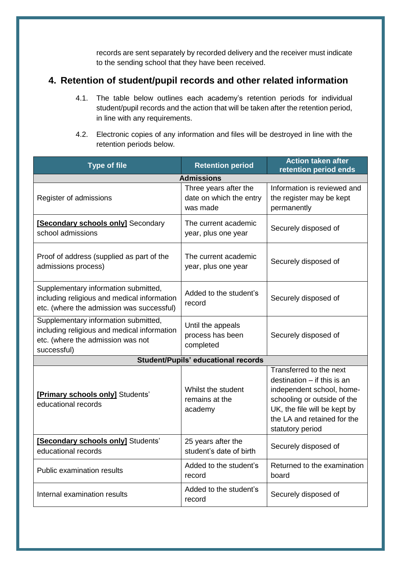records are sent separately by recorded delivery and the receiver must indicate to the sending school that they have been received.

## **4. Retention of student/pupil records and other related information**

- 4.1. The table below outlines each academy's retention periods for individual student/pupil records and the action that will be taken after the retention period, in line with any requirements.
- 4.2. Electronic copies of any information and files will be destroyed in line with the retention periods below.

| <b>Type of file</b>                                                                                                                     | <b>Retention period</b>                                      | <b>Action taken after</b><br>retention period ends                                                                                                                                                      |
|-----------------------------------------------------------------------------------------------------------------------------------------|--------------------------------------------------------------|---------------------------------------------------------------------------------------------------------------------------------------------------------------------------------------------------------|
|                                                                                                                                         | <b>Admissions</b>                                            |                                                                                                                                                                                                         |
| Register of admissions                                                                                                                  | Three years after the<br>date on which the entry<br>was made | Information is reviewed and<br>the register may be kept<br>permanently                                                                                                                                  |
| [Secondary schools only] Secondary<br>school admissions                                                                                 | The current academic<br>year, plus one year                  | Securely disposed of                                                                                                                                                                                    |
| Proof of address (supplied as part of the<br>admissions process)                                                                        | The current academic<br>year, plus one year                  | Securely disposed of                                                                                                                                                                                    |
| Supplementary information submitted,<br>including religious and medical information<br>etc. (where the admission was successful)        | Added to the student's<br>record                             | Securely disposed of                                                                                                                                                                                    |
| Supplementary information submitted,<br>including religious and medical information<br>etc. (where the admission was not<br>successful) | Until the appeals<br>process has been<br>completed           | Securely disposed of                                                                                                                                                                                    |
|                                                                                                                                         | <b>Student/Pupils' educational records</b>                   |                                                                                                                                                                                                         |
| [Primary schools only] Students'<br>educational records                                                                                 | Whilst the student<br>remains at the<br>academy              | Transferred to the next<br>destination $-$ if this is an<br>independent school, home-<br>schooling or outside of the<br>UK, the file will be kept by<br>the LA and retained for the<br>statutory period |
| [Secondary schools only] Students'<br>educational records                                                                               | 25 years after the<br>student's date of birth                | Securely disposed of                                                                                                                                                                                    |
| <b>Public examination results</b>                                                                                                       | Added to the student's<br>record                             | Returned to the examination<br>board                                                                                                                                                                    |
| Internal examination results                                                                                                            | Added to the student's<br>record                             | Securely disposed of                                                                                                                                                                                    |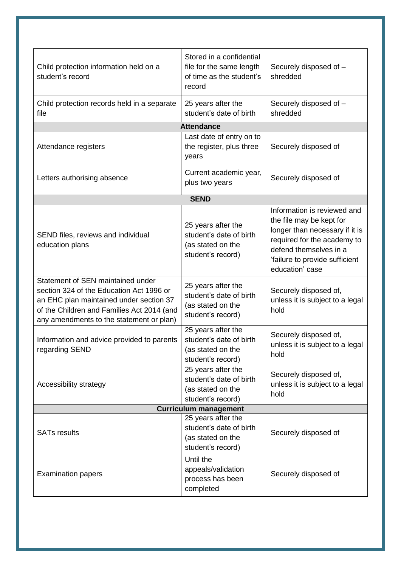| Child protection information held on a<br>student's record                                                                                                                                                         | Stored in a confidential<br>file for the same length<br>of time as the student's<br>record | Securely disposed of -<br>shredded                                                                                                                                                                      |  |
|--------------------------------------------------------------------------------------------------------------------------------------------------------------------------------------------------------------------|--------------------------------------------------------------------------------------------|---------------------------------------------------------------------------------------------------------------------------------------------------------------------------------------------------------|--|
| Child protection records held in a separate<br>file                                                                                                                                                                | 25 years after the<br>student's date of birth                                              | Securely disposed of -<br>shredded                                                                                                                                                                      |  |
|                                                                                                                                                                                                                    | <b>Attendance</b>                                                                          |                                                                                                                                                                                                         |  |
| Attendance registers                                                                                                                                                                                               | Last date of entry on to<br>the register, plus three<br>years                              | Securely disposed of                                                                                                                                                                                    |  |
| Letters authorising absence                                                                                                                                                                                        | Current academic year,<br>plus two years                                                   | Securely disposed of                                                                                                                                                                                    |  |
|                                                                                                                                                                                                                    | <b>SEND</b>                                                                                |                                                                                                                                                                                                         |  |
| SEND files, reviews and individual<br>education plans                                                                                                                                                              | 25 years after the<br>student's date of birth<br>(as stated on the<br>student's record)    | Information is reviewed and<br>the file may be kept for<br>longer than necessary if it is<br>required for the academy to<br>defend themselves in a<br>'failure to provide sufficient<br>education' case |  |
| Statement of SEN maintained under<br>section 324 of the Education Act 1996 or<br>an EHC plan maintained under section 37<br>of the Children and Families Act 2014 (and<br>any amendments to the statement or plan) | 25 years after the<br>student's date of birth<br>(as stated on the<br>student's record)    | Securely disposed of,<br>unless it is subject to a legal<br>hold                                                                                                                                        |  |
| Information and advice provided to parents<br>regarding SEND                                                                                                                                                       | 25 years after the<br>student's date of birth<br>(as stated on the<br>student's record)    | Securely disposed of,<br>unless it is subject to a legal<br>hold                                                                                                                                        |  |
| Accessibility strategy                                                                                                                                                                                             | 25 years after the<br>student's date of birth<br>(as stated on the<br>student's record)    | Securely disposed of,<br>unless it is subject to a legal<br>hold                                                                                                                                        |  |
| <b>Curriculum management</b>                                                                                                                                                                                       |                                                                                            |                                                                                                                                                                                                         |  |
| <b>SATs results</b>                                                                                                                                                                                                | 25 years after the<br>student's date of birth<br>(as stated on the<br>student's record)    | Securely disposed of                                                                                                                                                                                    |  |
| <b>Examination papers</b>                                                                                                                                                                                          | Until the<br>appeals/validation<br>process has been<br>completed                           | Securely disposed of                                                                                                                                                                                    |  |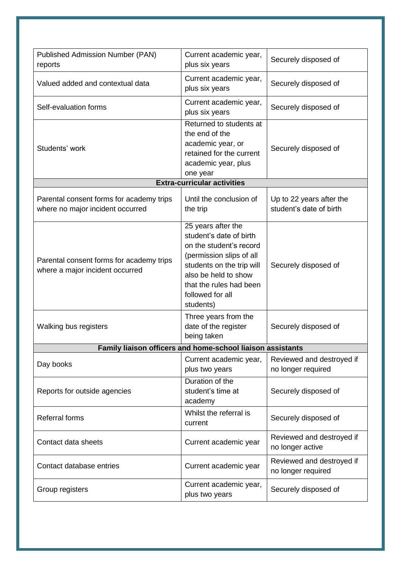| <b>Published Admission Number (PAN)</b><br>reports                           | Current academic year,<br>plus six years                                                                                                                                                                              | Securely disposed of                                |
|------------------------------------------------------------------------------|-----------------------------------------------------------------------------------------------------------------------------------------------------------------------------------------------------------------------|-----------------------------------------------------|
| Valued added and contextual data                                             | Current academic year,<br>plus six years                                                                                                                                                                              | Securely disposed of                                |
| Self-evaluation forms                                                        | Current academic year,<br>plus six years                                                                                                                                                                              | Securely disposed of                                |
| Students' work                                                               | Returned to students at<br>the end of the<br>academic year, or<br>retained for the current<br>academic year, plus<br>one year                                                                                         | Securely disposed of                                |
|                                                                              | <b>Extra-curricular activities</b>                                                                                                                                                                                    |                                                     |
| Parental consent forms for academy trips<br>where no major incident occurred | Until the conclusion of<br>the trip                                                                                                                                                                                   | Up to 22 years after the<br>student's date of birth |
| Parental consent forms for academy trips<br>where a major incident occurred  | 25 years after the<br>student's date of birth<br>on the student's record<br>(permission slips of all<br>students on the trip will<br>also be held to show<br>that the rules had been<br>followed for all<br>students) | Securely disposed of                                |
| Walking bus registers                                                        | Three years from the<br>date of the register<br>being taken                                                                                                                                                           | Securely disposed of                                |
|                                                                              | Family liaison officers and home-school liaison assistants                                                                                                                                                            |                                                     |
| Day books                                                                    | Current academic year,<br>plus two years                                                                                                                                                                              | Reviewed and destroyed if<br>no longer required     |
| Reports for outside agencies                                                 | Duration of the<br>student's time at<br>academy                                                                                                                                                                       | Securely disposed of                                |
| <b>Referral forms</b>                                                        | Whilst the referral is<br>current                                                                                                                                                                                     | Securely disposed of                                |
| Contact data sheets                                                          | Current academic year                                                                                                                                                                                                 | Reviewed and destroyed if<br>no longer active       |
| Contact database entries                                                     | Current academic year                                                                                                                                                                                                 | Reviewed and destroyed if<br>no longer required     |
| Group registers                                                              | Current academic year,<br>plus two years                                                                                                                                                                              | Securely disposed of                                |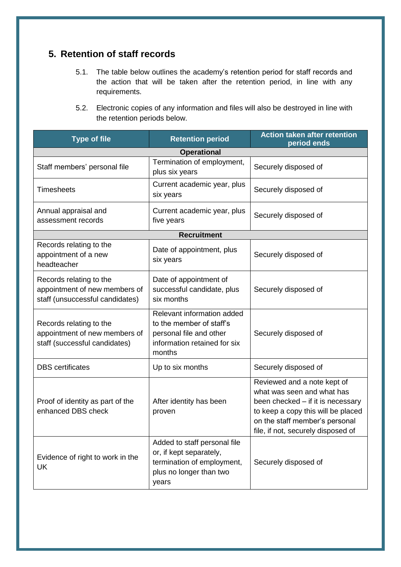## **5. Retention of staff records**

- 5.1. The table below outlines the academy's retention period for staff records and the action that will be taken after the retention period, in line with any requirements.
- 5.2. Electronic copies of any information and files will also be destroyed in line with the retention periods below.

| <b>Type of file</b>                                                                         | <b>Retention period</b>                                                                                                     | <b>Action taken after retention</b><br>period ends                                                                                                                                                           |
|---------------------------------------------------------------------------------------------|-----------------------------------------------------------------------------------------------------------------------------|--------------------------------------------------------------------------------------------------------------------------------------------------------------------------------------------------------------|
|                                                                                             | <b>Operational</b>                                                                                                          |                                                                                                                                                                                                              |
| Staff members' personal file                                                                | Termination of employment,<br>plus six years                                                                                | Securely disposed of                                                                                                                                                                                         |
| <b>Timesheets</b>                                                                           | Current academic year, plus<br>six years                                                                                    | Securely disposed of                                                                                                                                                                                         |
| Annual appraisal and<br>assessment records                                                  | Current academic year, plus<br>five years                                                                                   | Securely disposed of                                                                                                                                                                                         |
|                                                                                             | Recruitment                                                                                                                 |                                                                                                                                                                                                              |
| Records relating to the<br>appointment of a new<br>headteacher                              | Date of appointment, plus<br>six years                                                                                      | Securely disposed of                                                                                                                                                                                         |
| Records relating to the<br>appointment of new members of<br>staff (unsuccessful candidates) | Date of appointment of<br>successful candidate, plus<br>six months                                                          | Securely disposed of                                                                                                                                                                                         |
| Records relating to the<br>appointment of new members of<br>staff (successful candidates)   | Relevant information added<br>to the member of staff's<br>personal file and other<br>information retained for six<br>months | Securely disposed of                                                                                                                                                                                         |
| <b>DBS</b> certificates                                                                     | Up to six months                                                                                                            | Securely disposed of                                                                                                                                                                                         |
| Proof of identity as part of the<br>enhanced DBS check                                      | After identity has been<br>proven                                                                                           | Reviewed and a note kept of<br>what was seen and what has<br>been checked - if it is necessary<br>to keep a copy this will be placed<br>on the staff member's personal<br>file, if not, securely disposed of |
| Evidence of right to work in the<br>UK                                                      | Added to staff personal file<br>or, if kept separately,<br>termination of employment,<br>plus no longer than two<br>years   | Securely disposed of                                                                                                                                                                                         |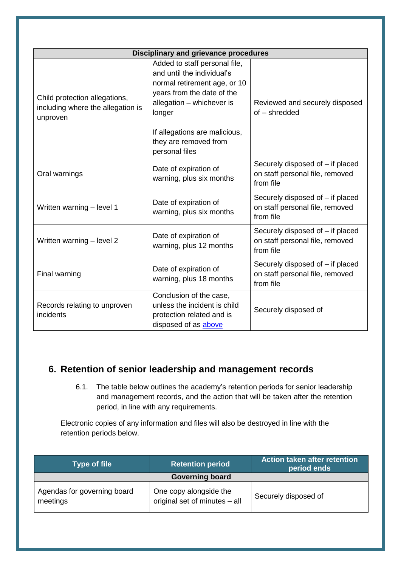<span id="page-10-0"></span>

| <b>Disciplinary and grievance procedures</b>                                   |                                                                                                                                                                  |                                                                                  |
|--------------------------------------------------------------------------------|------------------------------------------------------------------------------------------------------------------------------------------------------------------|----------------------------------------------------------------------------------|
| Child protection allegations,<br>including where the allegation is<br>unproven | Added to staff personal file,<br>and until the individual's<br>normal retirement age, or 10<br>years from the date of the<br>allegation - whichever is<br>longer | Reviewed and securely disposed<br>of - shredded                                  |
|                                                                                | If allegations are malicious,<br>they are removed from<br>personal files                                                                                         |                                                                                  |
| Oral warnings                                                                  | Date of expiration of<br>warning, plus six months                                                                                                                | Securely disposed of - if placed<br>on staff personal file, removed<br>from file |
| Written warning - level 1                                                      | Date of expiration of<br>warning, plus six months                                                                                                                | Securely disposed of - if placed<br>on staff personal file, removed<br>from file |
| Written warning - level 2                                                      | Date of expiration of<br>warning, plus 12 months                                                                                                                 | Securely disposed of - if placed<br>on staff personal file, removed<br>from file |
| Final warning                                                                  | Date of expiration of<br>warning, plus 18 months                                                                                                                 | Securely disposed of - if placed<br>on staff personal file, removed<br>from file |
| Records relating to unproven<br>incidents                                      | Conclusion of the case,<br>unless the incident is child<br>protection related and is<br>disposed of as above                                                     | Securely disposed of                                                             |

# **6. Retention of senior leadership and management records**

6.1. The table below outlines the academy's retention periods for senior leadership and management records, and the action that will be taken after the retention period, in line with any requirements.

Electronic copies of any information and files will also be destroyed in line with the retention periods below.

| <b>Type of file</b>                     | <b>Retention period</b>                                 | Action taken after retention<br>period ends |
|-----------------------------------------|---------------------------------------------------------|---------------------------------------------|
|                                         | <b>Governing board</b>                                  |                                             |
| Agendas for governing board<br>meetings | One copy alongside the<br>original set of minutes - all | Securely disposed of                        |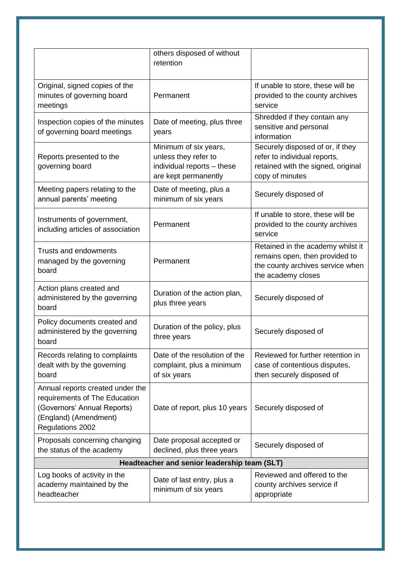|                                                                                                                                               | others disposed of without<br>retention                                                             |                                                                                                                               |
|-----------------------------------------------------------------------------------------------------------------------------------------------|-----------------------------------------------------------------------------------------------------|-------------------------------------------------------------------------------------------------------------------------------|
| Original, signed copies of the<br>minutes of governing board<br>meetings                                                                      | Permanent                                                                                           | If unable to store, these will be<br>provided to the county archives<br>service                                               |
| Inspection copies of the minutes<br>of governing board meetings                                                                               | Date of meeting, plus three<br>years                                                                | Shredded if they contain any<br>sensitive and personal<br>information                                                         |
| Reports presented to the<br>governing board                                                                                                   | Minimum of six years,<br>unless they refer to<br>individual reports - these<br>are kept permanently | Securely disposed of or, if they<br>refer to individual reports,<br>retained with the signed, original<br>copy of minutes     |
| Meeting papers relating to the<br>annual parents' meeting                                                                                     | Date of meeting, plus a<br>minimum of six years                                                     | Securely disposed of                                                                                                          |
| Instruments of government,<br>including articles of association                                                                               | Permanent                                                                                           | If unable to store, these will be<br>provided to the county archives<br>service                                               |
| <b>Trusts and endowments</b><br>managed by the governing<br>board                                                                             | Permanent                                                                                           | Retained in the academy whilst it<br>remains open, then provided to<br>the county archives service when<br>the academy closes |
| Action plans created and<br>administered by the governing<br>board                                                                            | Duration of the action plan,<br>plus three years                                                    | Securely disposed of                                                                                                          |
| Policy documents created and<br>administered by the governing<br>board                                                                        | Duration of the policy, plus<br>three years                                                         | Securely disposed of                                                                                                          |
| Records relating to complaints<br>dealt with by the governing<br>board                                                                        | Date of the resolution of the<br>complaint, plus a minimum<br>of six years                          | Reviewed for further retention in<br>case of contentious disputes,<br>then securely disposed of                               |
| Annual reports created under the<br>requirements of The Education<br>(Governors' Annual Reports)<br>(England) (Amendment)<br>Regulations 2002 | Date of report, plus 10 years                                                                       | Securely disposed of                                                                                                          |
| Proposals concerning changing<br>the status of the academy                                                                                    | Date proposal accepted or<br>declined, plus three years                                             | Securely disposed of                                                                                                          |
|                                                                                                                                               | Headteacher and senior leadership team (SLT)                                                        |                                                                                                                               |
| Log books of activity in the<br>academy maintained by the<br>headteacher                                                                      | Date of last entry, plus a<br>minimum of six years                                                  | Reviewed and offered to the<br>county archives service if<br>appropriate                                                      |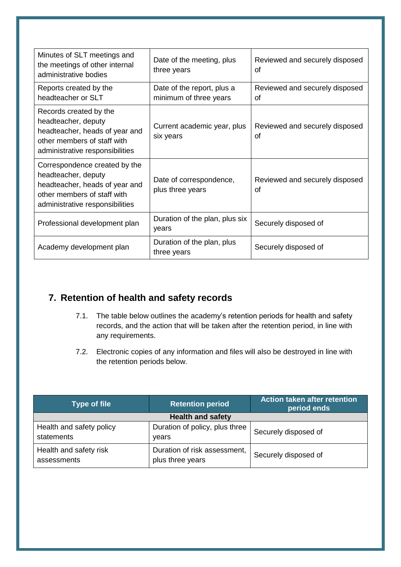| Minutes of SLT meetings and<br>the meetings of other internal<br>administrative bodies                                                                   | Date of the meeting, plus<br>three years             | Reviewed and securely disposed<br>Ωf |
|----------------------------------------------------------------------------------------------------------------------------------------------------------|------------------------------------------------------|--------------------------------------|
| Reports created by the<br>headteacher or SLT                                                                                                             | Date of the report, plus a<br>minimum of three years | Reviewed and securely disposed<br>οf |
| Records created by the<br>headteacher, deputy<br>headteacher, heads of year and<br>other members of staff with<br>administrative responsibilities        | Current academic year, plus<br>six years             | Reviewed and securely disposed<br>Ωf |
| Correspondence created by the<br>headteacher, deputy<br>headteacher, heads of year and<br>other members of staff with<br>administrative responsibilities | Date of correspondence,<br>plus three years          | Reviewed and securely disposed<br>of |
| Professional development plan                                                                                                                            | Duration of the plan, plus six<br>years              | Securely disposed of                 |
| Academy development plan                                                                                                                                 | Duration of the plan, plus<br>three years            | Securely disposed of                 |

## **7. Retention of health and safety records**

- 7.1. The table below outlines the academy's retention periods for health and safety records, and the action that will be taken after the retention period, in line with any requirements.
- 7.2. Electronic copies of any information and files will also be destroyed in line with the retention periods below.

| <b>Type of file</b>                    | <b>Retention period</b>                          | <b>Action taken after retention</b><br>period ends |
|----------------------------------------|--------------------------------------------------|----------------------------------------------------|
| <b>Health and safety</b>               |                                                  |                                                    |
| Health and safety policy<br>statements | Duration of policy, plus three<br>vears          | Securely disposed of                               |
| Health and safety risk<br>assessments  | Duration of risk assessment,<br>plus three years | Securely disposed of                               |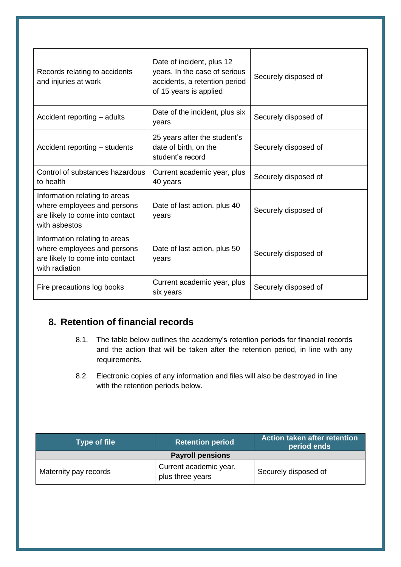| Records relating to accidents<br>and injuries at work                                                             | Date of incident, plus 12<br>years. In the case of serious<br>accidents, a retention period<br>of 15 years is applied | Securely disposed of |
|-------------------------------------------------------------------------------------------------------------------|-----------------------------------------------------------------------------------------------------------------------|----------------------|
| Accident reporting – adults                                                                                       | Date of the incident, plus six<br>years                                                                               | Securely disposed of |
| Accident reporting – students                                                                                     | 25 years after the student's<br>date of birth, on the<br>student's record                                             | Securely disposed of |
| Control of substances hazardous<br>to health                                                                      | Current academic year, plus<br>40 years                                                                               | Securely disposed of |
| Information relating to areas<br>where employees and persons<br>are likely to come into contact<br>with asbestos  | Date of last action, plus 40<br>years                                                                                 | Securely disposed of |
| Information relating to areas<br>where employees and persons<br>are likely to come into contact<br>with radiation | Date of last action, plus 50<br>years                                                                                 | Securely disposed of |
| Fire precautions log books                                                                                        | Current academic year, plus<br>six years                                                                              | Securely disposed of |

# **8. Retention of financial records**

- 8.1. The table below outlines the academy's retention periods for financial records and the action that will be taken after the retention period, in line with any requirements.
- 8.2. Electronic copies of any information and files will also be destroyed in line with the retention periods below.

| Type of file            | <b>Retention period</b>                    | Action taken after retention<br>period ends |
|-------------------------|--------------------------------------------|---------------------------------------------|
| <b>Payroll pensions</b> |                                            |                                             |
| Maternity pay records   | Current academic year,<br>plus three years | Securely disposed of                        |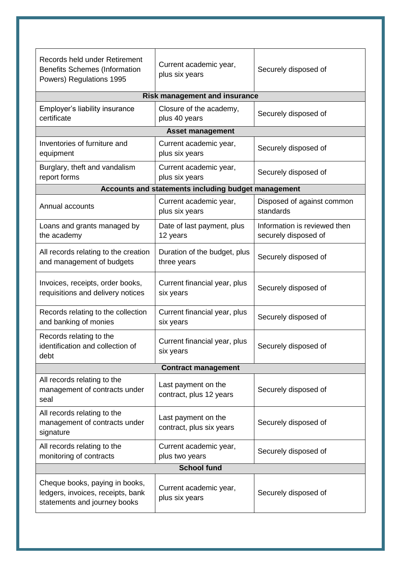| Records held under Retirement<br><b>Benefits Schemes (Information</b><br>Powers) Regulations 1995   | Current academic year,<br>plus six years            | Securely disposed of                                 |  |  |
|-----------------------------------------------------------------------------------------------------|-----------------------------------------------------|------------------------------------------------------|--|--|
| <b>Risk management and insurance</b>                                                                |                                                     |                                                      |  |  |
| Employer's liability insurance<br>certificate                                                       | Closure of the academy,<br>plus 40 years            | Securely disposed of                                 |  |  |
|                                                                                                     | <b>Asset management</b>                             |                                                      |  |  |
| Inventories of furniture and<br>equipment                                                           | Current academic year,<br>plus six years            | Securely disposed of                                 |  |  |
| Burglary, theft and vandalism<br>report forms                                                       | Current academic year,<br>plus six years            | Securely disposed of                                 |  |  |
|                                                                                                     | Accounts and statements including budget management |                                                      |  |  |
| Annual accounts                                                                                     | Current academic year,<br>plus six years            | Disposed of against common<br>standards              |  |  |
| Loans and grants managed by<br>the academy                                                          | Date of last payment, plus<br>12 years              | Information is reviewed then<br>securely disposed of |  |  |
| All records relating to the creation<br>and management of budgets                                   | Duration of the budget, plus<br>three years         | Securely disposed of                                 |  |  |
| Invoices, receipts, order books,<br>requisitions and delivery notices                               | Current financial year, plus<br>six years           | Securely disposed of                                 |  |  |
| Records relating to the collection<br>and banking of monies                                         | Current financial year, plus<br>six years           | Securely disposed of                                 |  |  |
| Records relating to the<br>identification and collection of<br>debt                                 | Current financial year, plus<br>six years           | Securely disposed of                                 |  |  |
|                                                                                                     | <b>Contract management</b>                          |                                                      |  |  |
| All records relating to the<br>management of contracts under<br>seal                                | Last payment on the<br>contract, plus 12 years      | Securely disposed of                                 |  |  |
| All records relating to the<br>management of contracts under<br>signature                           | Last payment on the<br>contract, plus six years     | Securely disposed of                                 |  |  |
| All records relating to the<br>monitoring of contracts                                              | Current academic year,<br>plus two years            | Securely disposed of                                 |  |  |
| <b>School fund</b>                                                                                  |                                                     |                                                      |  |  |
| Cheque books, paying in books,<br>ledgers, invoices, receipts, bank<br>statements and journey books | Current academic year,<br>plus six years            | Securely disposed of                                 |  |  |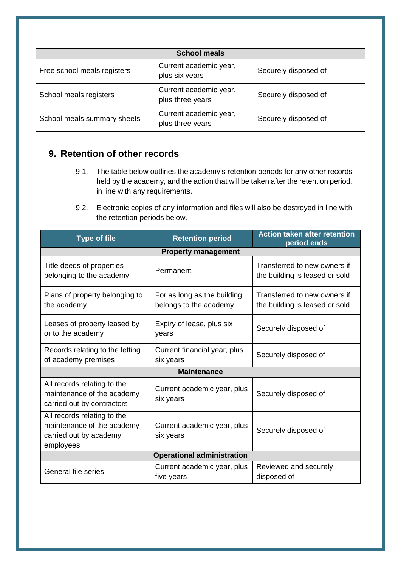| <b>School meals</b>         |                                            |                      |  |  |
|-----------------------------|--------------------------------------------|----------------------|--|--|
| Free school meals registers | Current academic year,<br>plus six years   | Securely disposed of |  |  |
| School meals registers      | Current academic year,<br>plus three years | Securely disposed of |  |  |
| School meals summary sheets | Current academic year,<br>plus three years | Securely disposed of |  |  |

# **9. Retention of other records**

- 9.1. The table below outlines the academy's retention periods for any other records held by the academy, and the action that will be taken after the retention period, in line with any requirements.
- 9.2. Electronic copies of any information and files will also be destroyed in line with the retention periods below.

| <b>Type of file</b>                                                                              | <b>Retention period</b>                               | <b>Action taken after retention</b><br>period ends             |  |  |  |
|--------------------------------------------------------------------------------------------------|-------------------------------------------------------|----------------------------------------------------------------|--|--|--|
| <b>Property management</b>                                                                       |                                                       |                                                                |  |  |  |
| Title deeds of properties<br>belonging to the academy                                            | Permanent                                             | Transferred to new owners if<br>the building is leased or sold |  |  |  |
| Plans of property belonging to<br>the academy                                                    | For as long as the building<br>belongs to the academy | Transferred to new owners if<br>the building is leased or sold |  |  |  |
| Leases of property leased by<br>or to the academy                                                | Expiry of lease, plus six<br>years                    | Securely disposed of                                           |  |  |  |
| Records relating to the letting<br>of academy premises                                           | Current financial year, plus<br>six years             | Securely disposed of                                           |  |  |  |
|                                                                                                  | <b>Maintenance</b>                                    |                                                                |  |  |  |
| All records relating to the<br>maintenance of the academy<br>carried out by contractors          | Current academic year, plus<br>six years              | Securely disposed of                                           |  |  |  |
| All records relating to the<br>maintenance of the academy<br>carried out by academy<br>employees | Current academic year, plus<br>six years              | Securely disposed of                                           |  |  |  |
| <b>Operational administration</b>                                                                |                                                       |                                                                |  |  |  |
| <b>General file series</b>                                                                       | Current academic year, plus<br>five years             | Reviewed and securely<br>disposed of                           |  |  |  |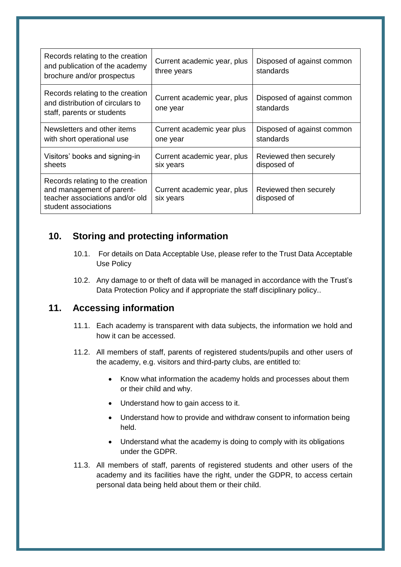| Records relating to the creation<br>and publication of the academy<br>brochure and/or prospectus                         | Current academic year, plus<br>three years | Disposed of against common<br>standards |
|--------------------------------------------------------------------------------------------------------------------------|--------------------------------------------|-----------------------------------------|
| Records relating to the creation<br>and distribution of circulars to<br>staff, parents or students                       | Current academic year, plus<br>one year    | Disposed of against common<br>standards |
| Newsletters and other items<br>with short operational use                                                                | Current academic year plus<br>one year     | Disposed of against common<br>standards |
| Visitors' books and signing-in<br>sheets                                                                                 | Current academic year, plus<br>six years   | Reviewed then securely<br>disposed of   |
| Records relating to the creation<br>and management of parent-<br>teacher associations and/or old<br>student associations | Current academic year, plus<br>six years   | Reviewed then securely<br>disposed of   |

## <span id="page-16-0"></span>**10. Storing and protecting information**

- 10.1. For details on Data Acceptable Use, please refer to the Trust Data Acceptable Use Policy
- 10.2. Any damage to or theft of data will be managed in accordance with the Trust's Data Protection Policy and if appropriate the staff disciplinary policy..

## **11. Accessing information**

- 11.1. Each academy is transparent with data subjects, the information we hold and how it can be accessed.
- 11.2. All members of staff, parents of registered students/pupils and other users of the academy, e.g. visitors and third-party clubs, are entitled to:
	- Know what information the academy holds and processes about them or their child and why.
	- Understand how to gain access to it.
	- Understand how to provide and withdraw consent to information being held.
	- Understand what the academy is doing to comply with its obligations under the GDPR.
- 11.3. All members of staff, parents of registered students and other users of the academy and its facilities have the right, under the GDPR, to access certain personal data being held about them or their child.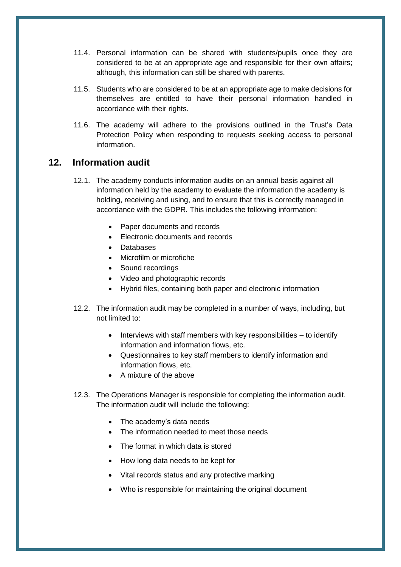- 11.4. Personal information can be shared with students/pupils once they are considered to be at an appropriate age and responsible for their own affairs; although, this information can still be shared with parents.
- 11.5. Students who are considered to be at an appropriate age to make decisions for themselves are entitled to have their personal information handled in accordance with their rights.
- 11.6. The academy will adhere to the provisions outlined in the Trust's Data Protection Policy when responding to requests seeking access to personal information.

#### **12. Information audit**

- 12.1. The academy conducts information audits on an annual basis against all information held by the academy to evaluate the information the academy is holding, receiving and using, and to ensure that this is correctly managed in accordance with the GDPR. This includes the following information:
	- Paper documents and records
	- Electronic documents and records
	- Databases
	- Microfilm or microfiche
	- Sound recordings
	- Video and photographic records
	- Hybrid files, containing both paper and electronic information
- 12.2. The information audit may be completed in a number of ways, including, but not limited to:
	- $\bullet$  Interviews with staff members with key responsibilities to identify information and information flows, etc.
	- Questionnaires to key staff members to identify information and information flows, etc.
	- A mixture of the above
- 12.3. The Operations Manager is responsible for completing the information audit. The information audit will include the following:
	- The academy's data needs
	- The information needed to meet those needs
	- The format in which data is stored
	- How long data needs to be kept for
	- Vital records status and any protective marking
	- Who is responsible for maintaining the original document